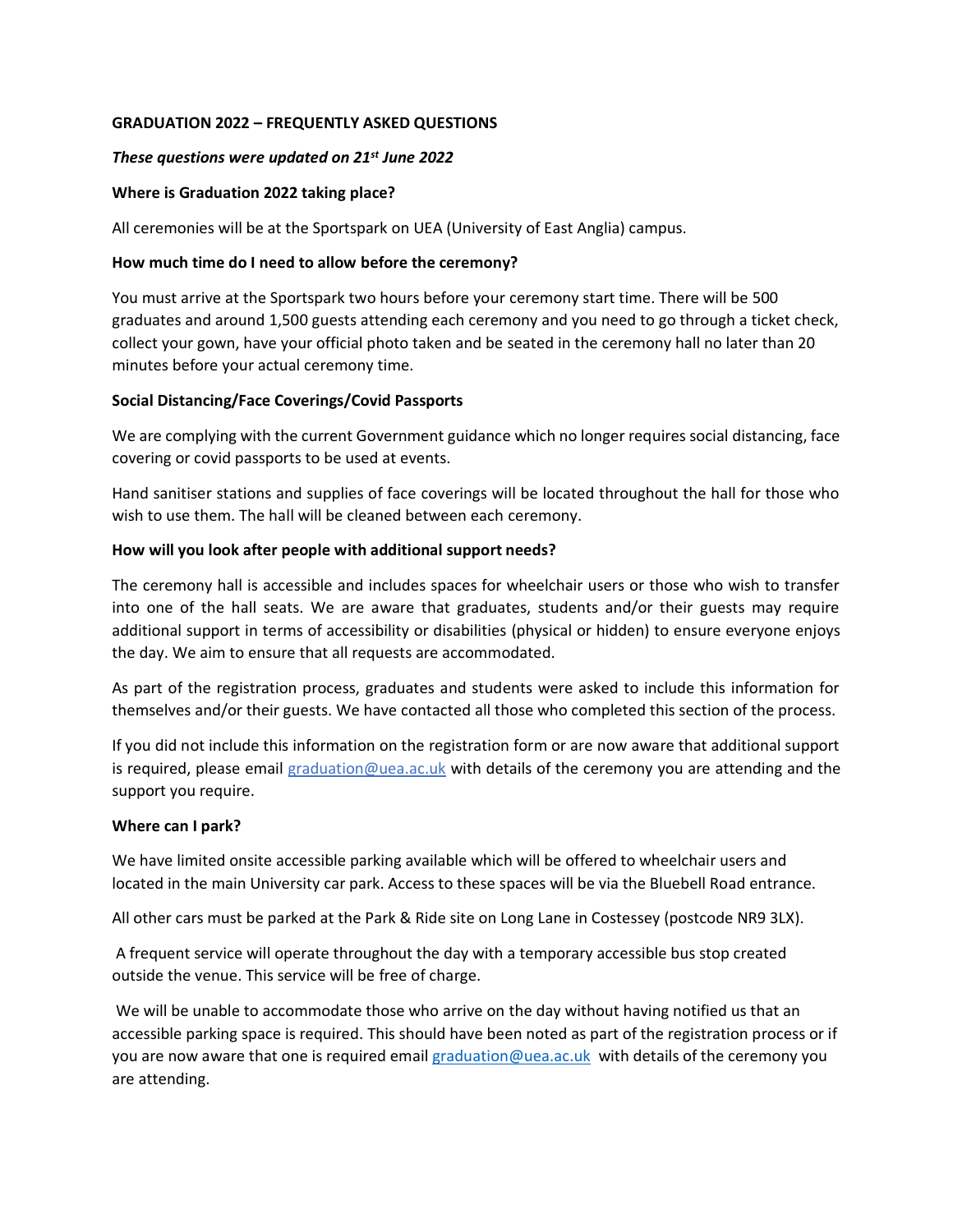## **GRADUATION 2022 – FREQUENTLY ASKED QUESTIONS**

## *These questions were updated on 21st June 2022*

## **Where is Graduation 2022 taking place?**

All ceremonies will be at the Sportspark on UEA (University of East Anglia) campus.

### **How much time do I need to allow before the ceremony?**

You must arrive at the Sportspark two hours before your ceremony start time. There will be 500 graduates and around 1,500 guests attending each ceremony and you need to go through a ticket check, collect your gown, have your official photo taken and be seated in the ceremony hall no later than 20 minutes before your actual ceremony time.

## **Social Distancing/Face Coverings/Covid Passports**

We are complying with the current Government guidance which no longer requires social distancing, face covering or covid passports to be used at events.

Hand sanitiser stations and supplies of face coverings will be located throughout the hall for those who wish to use them. The hall will be cleaned between each ceremony.

### **How will you look after people with additional support needs?**

The ceremony hall is accessible and includes spaces for wheelchair users or those who wish to transfer into one of the hall seats. We are aware that graduates, students and/or their guests may require additional support in terms of accessibility or disabilities (physical or hidden) to ensure everyone enjoys the day. We aim to ensure that all requests are accommodated.

As part of the registration process, graduates and students were asked to include this information for themselves and/or their guests. We have contacted all those who completed this section of the process.

If you did not include this information on the registration form or are now aware that additional support is required, please email [graduation@uea.ac.uk](mailto:graduation@uea.ac.uk) with details of the ceremony you are attending and the support you require.

## **Where can I park?**

We have limited onsite accessible parking available which will be offered to wheelchair users and located in the main University car park. Access to these spaces will be via the Bluebell Road entrance.

All other cars must be parked at the Park & Ride site on Long Lane in Costessey (postcode NR9 3LX).

A frequent service will operate throughout the day with a temporary accessible bus stop created outside the venue. This service will be free of charge.

We will be unable to accommodate those who arrive on the day without having notified us that an accessible parking space is required. This should have been noted as part of the registration process or if you are now aware that one is required email [graduation@uea.ac.uk](mailto:graduation@uea.ac.uk) with details of the ceremony you are attending.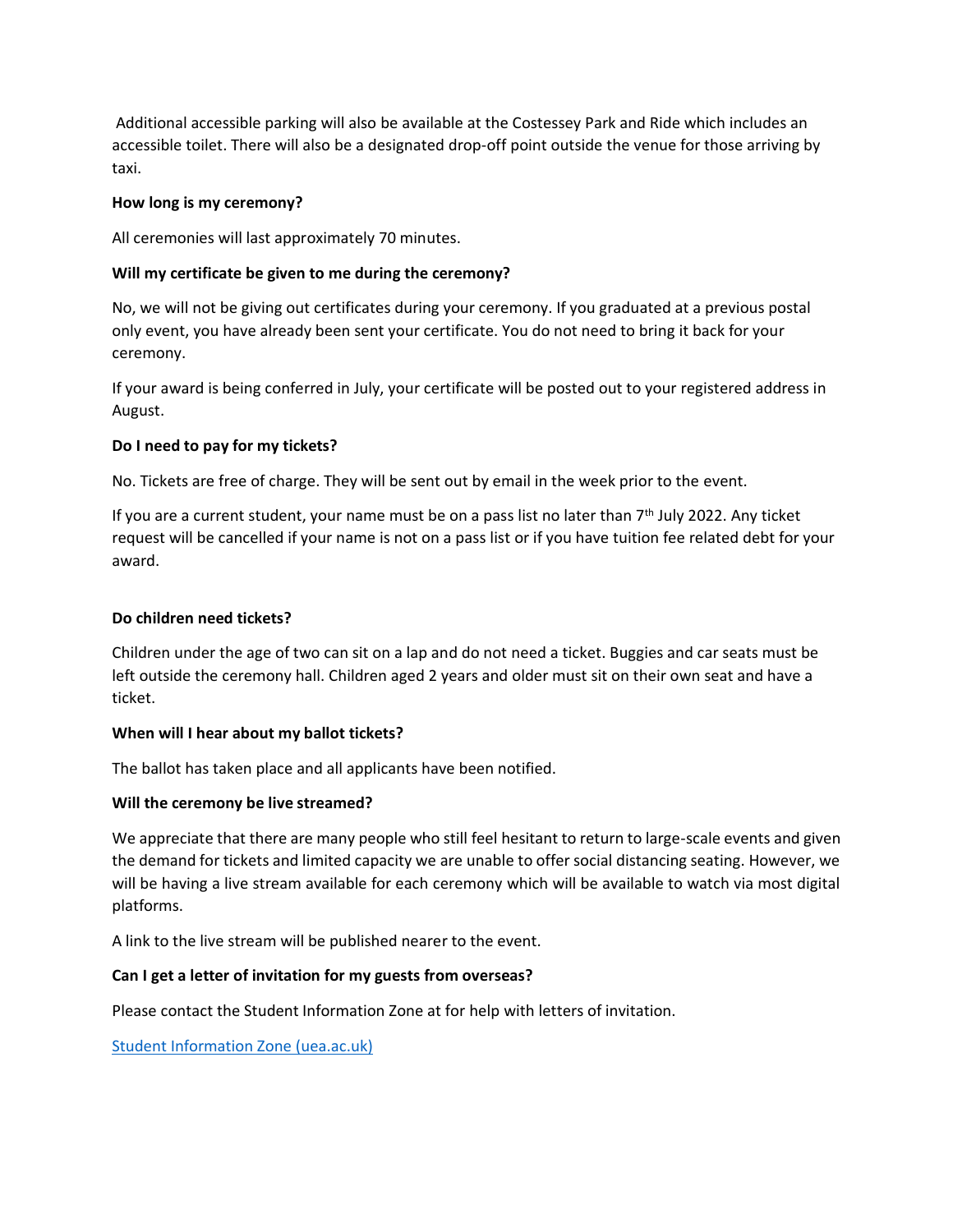Additional accessible parking will also be available at the Costessey Park and Ride which includes an accessible toilet. There will also be a designated drop-off point outside the venue for those arriving by taxi.

## **How long is my ceremony?**

All ceremonies will last approximately 70 minutes.

## **Will my certificate be given to me during the ceremony?**

No, we will not be giving out certificates during your ceremony. If you graduated at a previous postal only event, you have already been sent your certificate. You do not need to bring it back for your ceremony.

If your award is being conferred in July, your certificate will be posted out to your registered address in August.

### **Do I need to pay for my tickets?**

No. Tickets are free of charge. They will be sent out by email in the week prior to the event.

If you are a current student, your name must be on a pass list no later than 7th July 2022. Any ticket request will be cancelled if your name is not on a pass list or if you have tuition fee related debt for your award.

#### **Do children need tickets?**

Children under the age of two can sit on a lap and do not need a ticket. Buggies and car seats must be left outside the ceremony hall. Children aged 2 years and older must sit on their own seat and have a ticket.

#### **When will I hear about my ballot tickets?**

The ballot has taken place and all applicants have been notified.

#### **Will the ceremony be live streamed?**

We appreciate that there are many people who still feel hesitant to return to large-scale events and given the demand for tickets and limited capacity we are unable to offer social distancing seating. However, we will be having a live stream available for each ceremony which will be available to watch via most digital platforms.

A link to the live stream will be published nearer to the event.

## **Can I get a letter of invitation for my guests from overseas?**

Please contact the Student Information Zone at for help with letters of invitation.

[Student Information Zone \(uea.ac.uk\)](https://www.uea.ac.uk/uea-life/student-support/student-information-zone)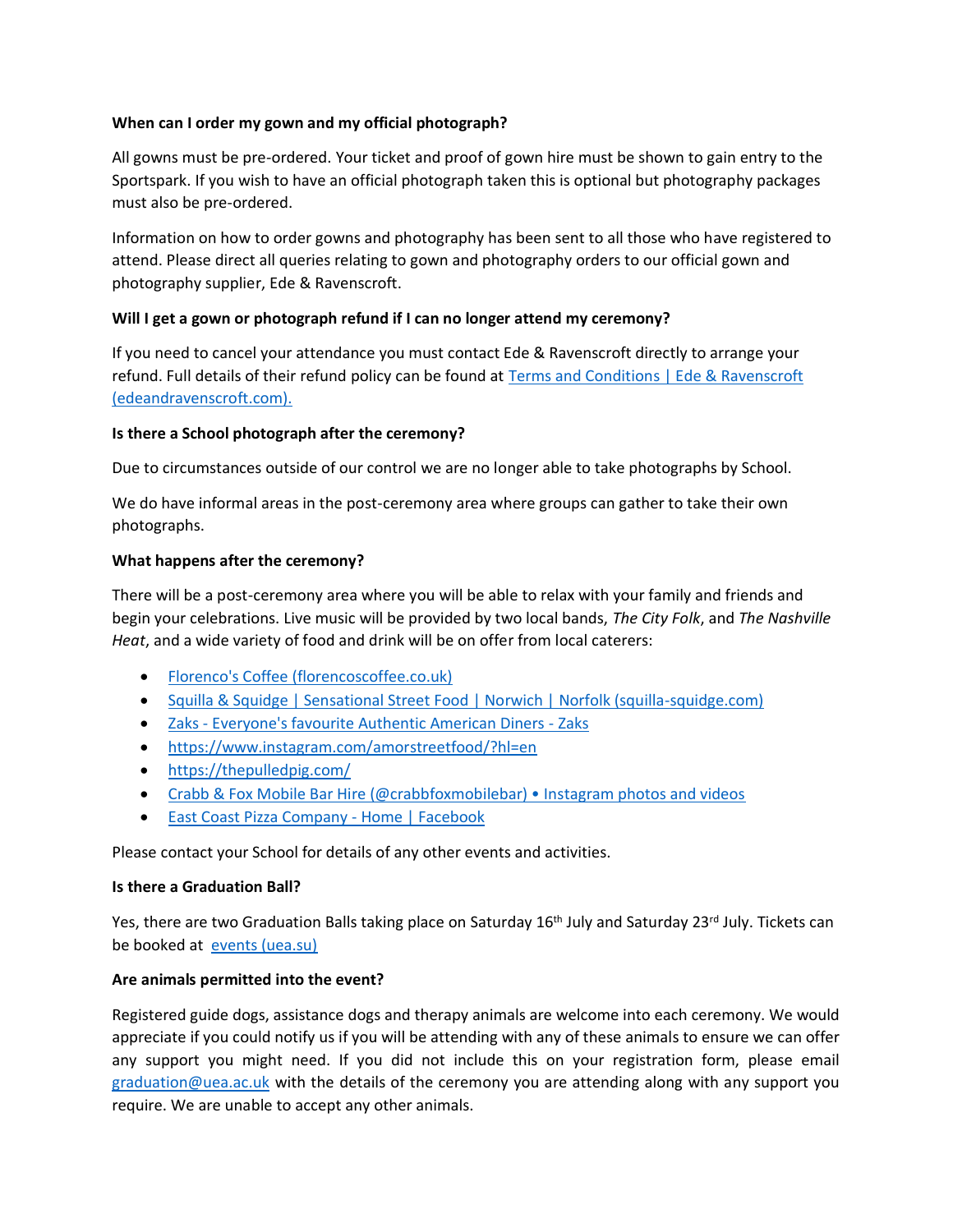# **When can I order my gown and my official photograph?**

All gowns must be pre-ordered. Your ticket and proof of gown hire must be shown to gain entry to the Sportspark. If you wish to have an official photograph taken this is optional but photography packages must also be pre-ordered.

Information on how to order gowns and photography has been sent to all those who have registered to attend. Please direct all queries relating to gown and photography orders to our official gown and photography supplier, Ede & Ravenscroft.

# **Will I get a gown or photograph refund if I can no longer attend my ceremony?**

If you need to cancel your attendance you must contact Ede & Ravenscroft directly to arrange your refund. Full details of their refund policy can be found at Terms and Conditions | Ede & Ravenscroft [\(edeandravenscroft.com\).](https://www2.edeandravenscroft.com/terms-conditions/#refunds)

# **Is there a School photograph after the ceremony?**

Due to circumstances outside of our control we are no longer able to take photographs by School.

We do have informal areas in the post-ceremony area where groups can gather to take their own photographs.

## **What happens after the ceremony?**

There will be a post-ceremony area where you will be able to relax with your family and friends and begin your celebrations. Live music will be provided by two local bands, *The City Folk*, and *The Nashville Heat*, and a wide variety of food and drink will be on offer from local caterers:

- [Florenco's Coffee \(florencoscoffee.co.uk\)](https://www.florencoscoffee.co.uk/)
- [Squilla & Squidge | Sensational Street Food | Norwich | Norfolk \(squilla-squidge.com\)](https://www.squilla-squidge.com/)
- Zaks [Everyone's favourite Authentic American Diners -](https://www.zaks.uk.com/) Zaks
- [https://www.instagram.com/amorstreetfood/?hl=en](https://eur01.safelinks.protection.outlook.com/?url=https%3A%2F%2Fwww.instagram.com%2Famorstreetfood%2F%3Fhl%3Den&data=05%7C01%7CAlison.Coyle%40uea.ac.uk%7Ccd41b4fae7904607276608da535e73f9%7Cc65f8795ba3d43518a070865e5d8f090%7C0%7C0%7C637914005711959704%7CUnknown%7CTWFpbGZsb3d8eyJWIjoiMC4wLjAwMDAiLCJQIjoiV2luMzIiLCJBTiI6Ik1haWwiLCJXVCI6Mn0%3D%7C3000%7C%7C%7C&sdata=FKcDeM3YzvG8%2FXEvdmO9ETCKOYHhlfuE6WIbqWsSXq8%3D&reserved=0)
- [https://thepulledpig.com/](https://eur01.safelinks.protection.outlook.com/?url=https%3A%2F%2Fthepulledpig.com%2F&data=05%7C01%7CAlison.Coyle%40uea.ac.uk%7Ccd41b4fae7904607276608da535e73f9%7Cc65f8795ba3d43518a070865e5d8f090%7C0%7C0%7C637914005711959704%7CUnknown%7CTWFpbGZsb3d8eyJWIjoiMC4wLjAwMDAiLCJQIjoiV2luMzIiLCJBTiI6Ik1haWwiLCJXVCI6Mn0%3D%7C3000%7C%7C%7C&sdata=%2BudD6KwStvIxTMxQnSos7Z4xa%2F5YJSYJip44S8P0ES8%3D&reserved=0)
- [Crabb & Fox Mobile Bar Hire \(@crabbfoxmobilebar\) Instagram photos and videos](https://www.instagram.com/crabbfoxmobilebar/?hl=en)
- [East Coast Pizza Company -](https://www.facebook.com/EastCoastPizzaCompany/) Home | Facebook

Please contact your School for details of any other events and activities.

## **Is there a Graduation Ball?**

Yes, there are two Graduation Balls taking place on Saturday 16<sup>th</sup> July and Saturday 23<sup>rd</sup> July. Tickets can be booked at [events \(uea.su\)](https://www.uea.su/tickets/)

# **Are animals permitted into the event?**

Registered guide dogs, assistance dogs and therapy animals are welcome into each ceremony. We would appreciate if you could notify us if you will be attending with any of these animals to ensure we can offer any support you might need. If you did not include this on your registration form, please email [graduation@uea.ac.uk](mailto:graduation@uea.ac.uk) with the details of the ceremony you are attending along with any support you require. We are unable to accept any other animals.